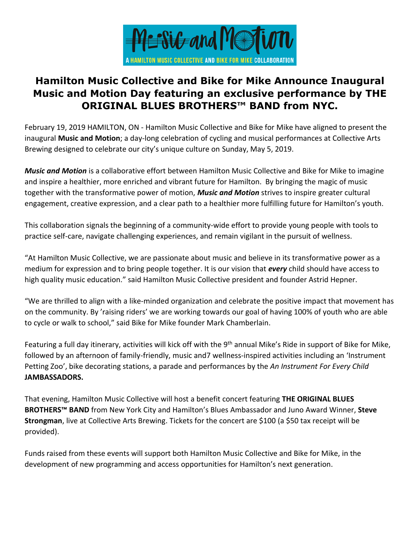

# **Hamilton Music Collective and Bike for Mike Announce Inaugural Music and Motion Day featuring an exclusive performance by THE ORIGINAL BLUES BROTHERS™ BAND from NYC.**

February 19, 2019 HAMILTON, ON - Hamilton Music Collective and Bike for Mike have aligned to present the inaugural **Music and Motion**; a day-long celebration of cycling and musical performances at Collective Arts Brewing designed to celebrate our city's unique culture on Sunday, May 5, 2019.

*Music and Motion* is a collaborative effort between Hamilton Music Collective and Bike for Mike to imagine and inspire a healthier, more enriched and vibrant future for Hamilton. By bringing the magic of music together with the transformative power of motion, *Music and Motion* strives to inspire greater cultural engagement, creative expression, and a clear path to a healthier more fulfilling future for Hamilton's youth.

This collaboration signals the beginning of a community-wide effort to provide young people with tools to practice self-care, navigate challenging experiences, and remain vigilant in the pursuit of wellness.

"At Hamilton Music Collective, we are passionate about music and believe in its transformative power as a medium for expression and to bring people together. It is our vision that *every* child should have access to high quality music education." said Hamilton Music Collective president and founder Astrid Hepner.

"We are thrilled to align with a like-minded organization and celebrate the positive impact that movement has on the community. By 'raising riders' we are working towards our goal of having 100% of youth who are able to cycle or walk to school," said Bike for Mike founder Mark Chamberlain.

Featuring a full day itinerary, activities will kick off with the 9<sup>th</sup> annual Mike's Ride in support of Bike for Mike, followed by an afternoon of family-friendly, music and7 wellness-inspired activities including an 'Instrument Petting Zoo', bike decorating stations, a parade and performances by the *An Instrument For Every Child* **JAMBASSADORS.**

That evening, Hamilton Music Collective will host a benefit concert featuring **THE ORIGINAL BLUES BROTHERS™ BAND** from New York City and Hamilton's Blues Ambassador and Juno Award Winner, **Steve Strongman**, live at Collective Arts Brewing. Tickets for the concert are \$100 (a \$50 tax receipt will be provided).

Funds raised from these events will support both Hamilton Music Collective and Bike for Mike, in the development of new programming and access opportunities for Hamilton's next generation.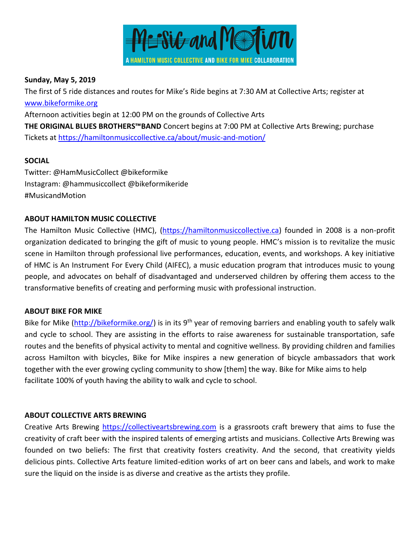

#### **Sunday, May 5, 2019**

The first of 5 ride distances and routes for Mike's Ride begins at 7:30 AM at Collective Arts; register at [www.bikeformike.org](http://www.bikeformike.org/)

Afternoon activities begin at 12:00 PM on the grounds of Collective Arts

**THE ORIGINAL BLUES BROTHERS™BAND** Concert begins at 7:00 PM at Collective Arts Brewing; purchase Tickets at<https://hamiltonmusiccollective.ca/about/music-and-motion/>

## **SOCIAL**

Twitter: @HamMusicCollect @bikeformike Instagram: @hammusiccollect @bikeformikeride #MusicandMotion

## **ABOUT HAMILTON MUSIC COLLECTIVE**

The Hamilton Music Collective (HMC), [\(https://hamiltonmusiccollective.ca\)](https://hamiltonmusiccollective.ca/) founded in 2008 is a non-profit organization dedicated to bringing the gift of music to young people. HMC's mission is to revitalize the music scene in Hamilton through professional live performances, education, events, and workshops. A key initiative of HMC is An Instrument For Every Child (AIFEC), a music education program that introduces music to young people, and advocates on behalf of disadvantaged and underserved children by offering them access to the transformative benefits of creating and performing music with professional instruction.

### **ABOUT BIKE FOR MIKE**

Bike for Mike [\(http://bikeformike.org/\)](http://bikeformike.org/) is in its 9<sup>th</sup> year of removing barriers and enabling youth to safely walk and cycle to school. They are assisting in the efforts to raise awareness for sustainable transportation, safe routes and the benefits of physical activity to mental and cognitive wellness. By providing children and families across Hamilton with bicycles, Bike for Mike inspires a new generation of bicycle ambassadors that work together with the ever growing cycling community to show [them] the way. Bike for Mike aims to help facilitate 100% of youth having the ability to walk and cycle to school.

### **ABOUT COLLECTIVE ARTS BREWING**

Creative Arts Brewing [https://collectiveartsbrewing.com](https://collectiveartsbrewing.com/) is a grassroots craft brewery that aims to fuse the creativity of craft beer with the inspired talents of emerging artists and musicians. Collective Arts Brewing was founded on two beliefs: The first that creativity fosters creativity. And the second, that creativity yields delicious pints. Collective Arts feature limited-edition works of art on beer cans and labels, and work to make sure the liquid on the inside is as diverse and creative as the artists they profile.